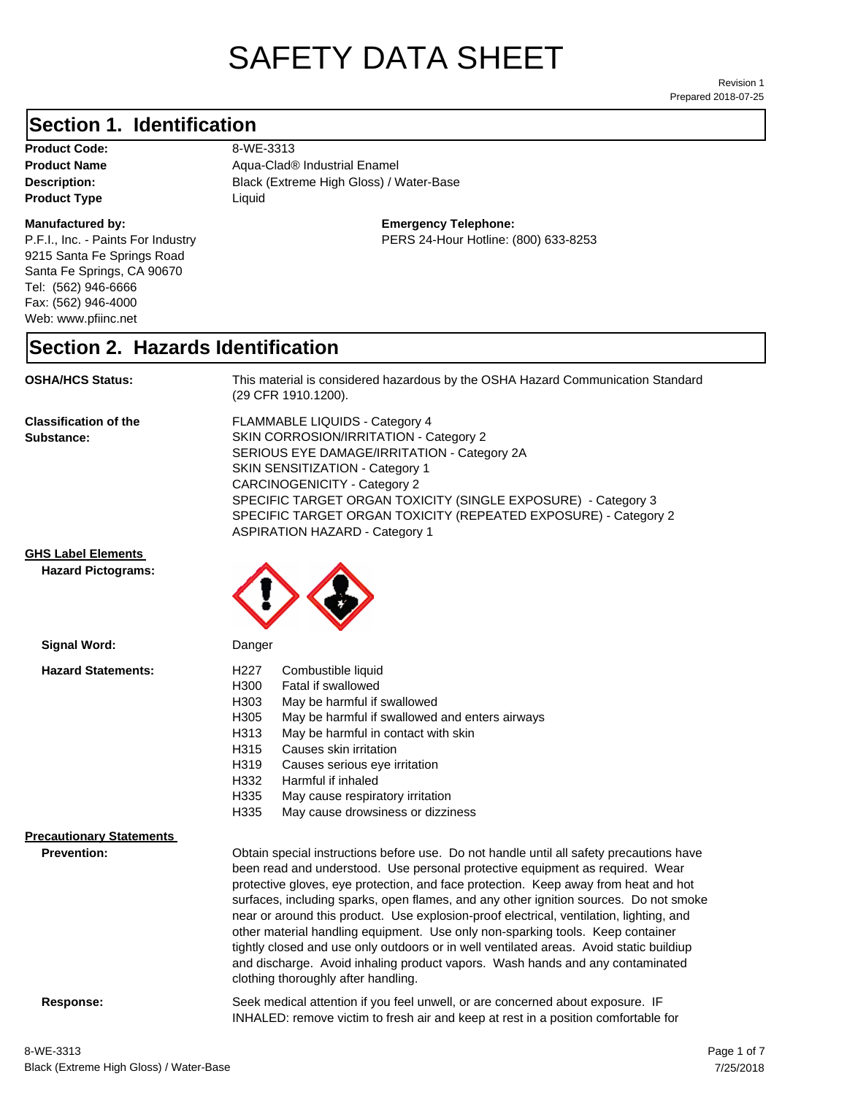# SAFETY DATA SHEET

Prepared 2018-07-25 Revision 1

#### **Section 1. Identification**

**Product Code:** 8-WE-3313 **Product Type Liquid Liquid** 

#### **Manufactured by:**

P.F.I., Inc. - Paints For Industry 9215 Santa Fe Springs Road Santa Fe Springs, CA 90670 Tel: (562) 946-6666 Fax: (562) 946-4000 Web: www.pfiinc.net

Description: **Black (Extreme High Gloss) / Water-Base Product Name Aqua-Clad® Industrial Enamel** 

**Emergency Telephone:**

PERS 24-Hour Hotline: (800) 633-8253

#### **Section 2. Hazards Identification**

**OSHA/HCS Status:** This material is considered hazardous by the OSHA Hazard Communication Standard (29 CFR 1910.1200).

**Classification of the Substance:**

FLAMMABLE LIQUIDS - Category 4 SKIN CORROSION/IRRITATION - Category 2 SERIOUS EYE DAMAGE/IRRITATION - Category 2A SKIN SENSITIZATION - Category 1 CARCINOGENICITY - Category 2 SPECIFIC TARGET ORGAN TOXICITY (SINGLE EXPOSURE) - Category 3 SPECIFIC TARGET ORGAN TOXICITY (REPEATED EXPOSURE) - Category 2 ASPIRATION HAZARD - Category 1

**GHS Label Elements**

**Hazard Pictograms:**



| <b>Signal Word:</b>             | Danger                                                                                                                                                                                                                                                                                                                                                                                                                                                                                                                                                                                                                                                                                                                                                   |
|---------------------------------|----------------------------------------------------------------------------------------------------------------------------------------------------------------------------------------------------------------------------------------------------------------------------------------------------------------------------------------------------------------------------------------------------------------------------------------------------------------------------------------------------------------------------------------------------------------------------------------------------------------------------------------------------------------------------------------------------------------------------------------------------------|
| <b>Hazard Statements:</b>       | H227<br>Combustible liquid<br>H300<br>Fatal if swallowed<br>H303<br>May be harmful if swallowed<br>H305<br>May be harmful if swallowed and enters airways<br>H313<br>May be harmful in contact with skin<br>H315<br>Causes skin irritation<br>H319<br>Causes serious eye irritation<br>H332<br>Harmful if inhaled<br>H335<br>May cause respiratory irritation<br>H335<br>May cause drowsiness or dizziness                                                                                                                                                                                                                                                                                                                                               |
| <b>Precautionary Statements</b> |                                                                                                                                                                                                                                                                                                                                                                                                                                                                                                                                                                                                                                                                                                                                                          |
| Prevention:                     | Obtain special instructions before use. Do not handle until all safety precautions have<br>been read and understood. Use personal protective equipment as required. Wear<br>protective gloves, eye protection, and face protection. Keep away from heat and hot<br>surfaces, including sparks, open flames, and any other ignition sources. Do not smoke<br>near or around this product. Use explosion-proof electrical, ventilation, lighting, and<br>other material handling equipment. Use only non-sparking tools. Keep container<br>tightly closed and use only outdoors or in well ventilated areas. Avoid static buildiup<br>and discharge. Avoid inhaling product vapors. Wash hands and any contaminated<br>clothing thoroughly after handling. |

**Response:** Seek medical attention if you feel unwell, or are concerned about exposure. IF

Black (Extreme High Gloss) / Water-Base

8-WE-3313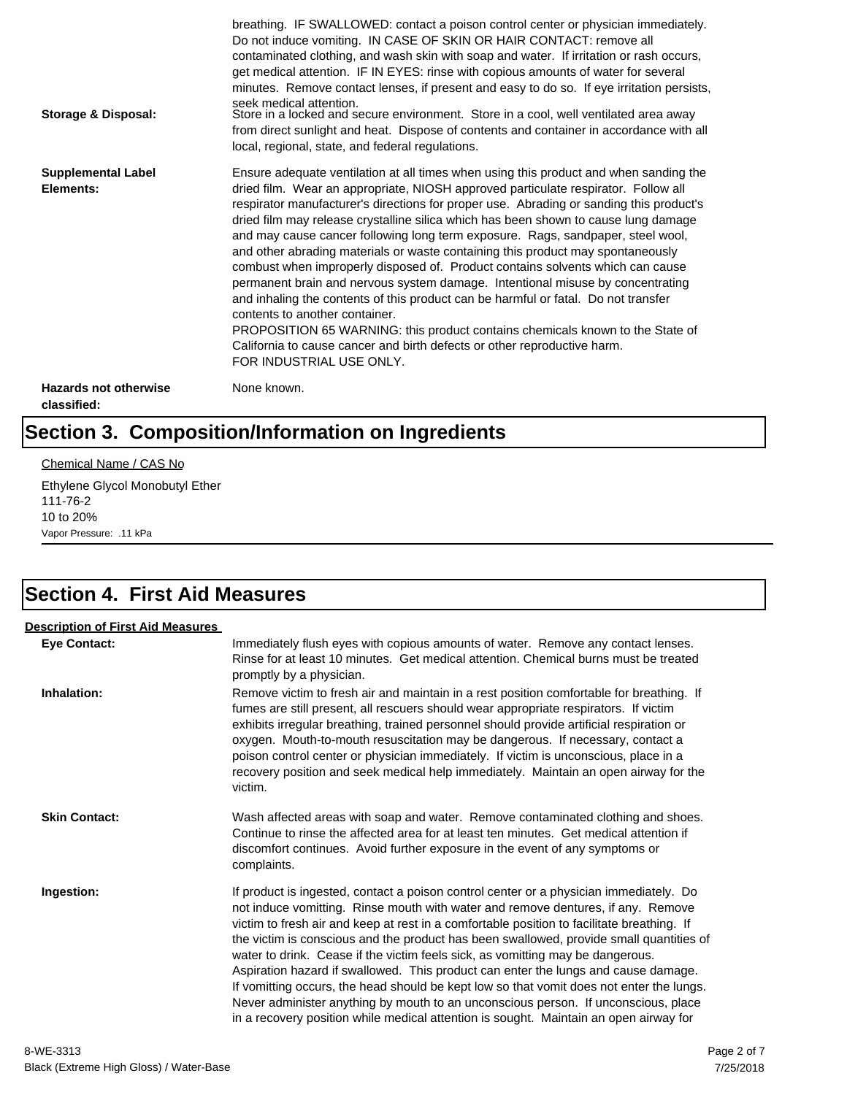| Storage & Disposal:                         | breathing. IF SWALLOWED: contact a poison control center or physician immediately.<br>Do not induce vomiting. IN CASE OF SKIN OR HAIR CONTACT: remove all<br>contaminated clothing, and wash skin with soap and water. If irritation or rash occurs,<br>get medical attention. IF IN EYES: rinse with copious amounts of water for several<br>minutes. Remove contact lenses, if present and easy to do so. If eye irritation persists,<br>seek medical attention.<br>Store in a locked and secure environment. Store in a cool, well ventilated area away<br>from direct sunlight and heat. Dispose of contents and container in accordance with all<br>local, regional, state, and federal regulations.                                                                                                                                                                                                                                                                                                                |
|---------------------------------------------|--------------------------------------------------------------------------------------------------------------------------------------------------------------------------------------------------------------------------------------------------------------------------------------------------------------------------------------------------------------------------------------------------------------------------------------------------------------------------------------------------------------------------------------------------------------------------------------------------------------------------------------------------------------------------------------------------------------------------------------------------------------------------------------------------------------------------------------------------------------------------------------------------------------------------------------------------------------------------------------------------------------------------|
| <b>Supplemental Label</b><br>Elements:      | Ensure adequate ventilation at all times when using this product and when sanding the<br>dried film. Wear an appropriate, NIOSH approved particulate respirator. Follow all<br>respirator manufacturer's directions for proper use. Abrading or sanding this product's<br>dried film may release crystalline silica which has been shown to cause lung damage<br>and may cause cancer following long term exposure. Rags, sandpaper, steel wool,<br>and other abrading materials or waste containing this product may spontaneously<br>combust when improperly disposed of. Product contains solvents which can cause<br>permanent brain and nervous system damage. Intentional misuse by concentrating<br>and inhaling the contents of this product can be harmful or fatal. Do not transfer<br>contents to another container.<br>PROPOSITION 65 WARNING: this product contains chemicals known to the State of<br>California to cause cancer and birth defects or other reproductive harm.<br>FOR INDUSTRIAL USE ONLY. |
| <b>Hazards not otherwise</b><br>classified: | None known.                                                                                                                                                                                                                                                                                                                                                                                                                                                                                                                                                                                                                                                                                                                                                                                                                                                                                                                                                                                                              |

## **Section 3. Composition/Information on Ingredients**

#### Chemical Name / CAS No

Ethylene Glycol Monobutyl Ether 111-76-2 10 to 20% Vapor Pressure: .11 kPa

### **Section 4. First Aid Measures**

| <b>Description of First Aid Measures</b> |                                                                                                                                                                                                                                                                                                                                                                                                                                                                                                                                                                                                                                                                                                                                                                                                                        |
|------------------------------------------|------------------------------------------------------------------------------------------------------------------------------------------------------------------------------------------------------------------------------------------------------------------------------------------------------------------------------------------------------------------------------------------------------------------------------------------------------------------------------------------------------------------------------------------------------------------------------------------------------------------------------------------------------------------------------------------------------------------------------------------------------------------------------------------------------------------------|
| <b>Eye Contact:</b>                      | Immediately flush eyes with copious amounts of water. Remove any contact lenses.<br>Rinse for at least 10 minutes. Get medical attention. Chemical burns must be treated<br>promptly by a physician.                                                                                                                                                                                                                                                                                                                                                                                                                                                                                                                                                                                                                   |
| Inhalation:                              | Remove victim to fresh air and maintain in a rest position comfortable for breathing. If<br>fumes are still present, all rescuers should wear appropriate respirators. If victim<br>exhibits irregular breathing, trained personnel should provide artificial respiration or<br>oxygen. Mouth-to-mouth resuscitation may be dangerous. If necessary, contact a<br>poison control center or physician immediately. If victim is unconscious, place in a<br>recovery position and seek medical help immediately. Maintain an open airway for the<br>victim.                                                                                                                                                                                                                                                              |
| <b>Skin Contact:</b>                     | Wash affected areas with soap and water. Remove contaminated clothing and shoes.<br>Continue to rinse the affected area for at least ten minutes. Get medical attention if<br>discomfort continues. Avoid further exposure in the event of any symptoms or<br>complaints.                                                                                                                                                                                                                                                                                                                                                                                                                                                                                                                                              |
| Ingestion:                               | If product is ingested, contact a poison control center or a physician immediately. Do<br>not induce vomitting. Rinse mouth with water and remove dentures, if any. Remove<br>victim to fresh air and keep at rest in a comfortable position to facilitate breathing. If<br>the victim is conscious and the product has been swallowed, provide small quantities of<br>water to drink. Cease if the victim feels sick, as vomitting may be dangerous.<br>Aspiration hazard if swallowed. This product can enter the lungs and cause damage.<br>If vomitting occurs, the head should be kept low so that vomit does not enter the lungs.<br>Never administer anything by mouth to an unconscious person. If unconscious, place<br>in a recovery position while medical attention is sought. Maintain an open airway for |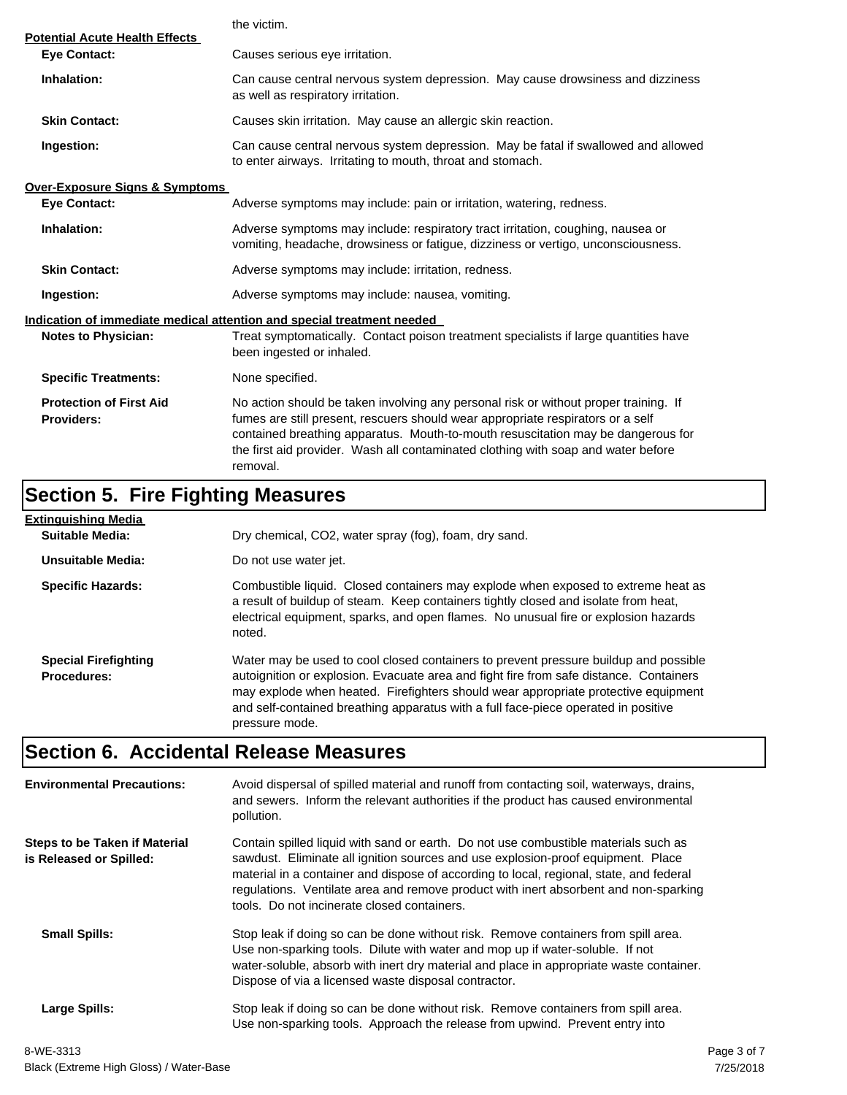|                                                              | the victim.                                                                                                                                                                                                                                                                                                                                                  |  |  |
|--------------------------------------------------------------|--------------------------------------------------------------------------------------------------------------------------------------------------------------------------------------------------------------------------------------------------------------------------------------------------------------------------------------------------------------|--|--|
| <b>Potential Acute Health Effects</b><br><b>Eye Contact:</b> | Causes serious eye irritation.                                                                                                                                                                                                                                                                                                                               |  |  |
| Inhalation:                                                  | Can cause central nervous system depression. May cause drowsiness and dizziness<br>as well as respiratory irritation.                                                                                                                                                                                                                                        |  |  |
| <b>Skin Contact:</b>                                         | Causes skin irritation. May cause an allergic skin reaction.                                                                                                                                                                                                                                                                                                 |  |  |
| Ingestion:                                                   | Can cause central nervous system depression. May be fatal if swallowed and allowed<br>to enter airways. Irritating to mouth, throat and stomach.                                                                                                                                                                                                             |  |  |
| <b>Over-Exposure Signs &amp; Symptoms</b>                    |                                                                                                                                                                                                                                                                                                                                                              |  |  |
| <b>Eye Contact:</b>                                          | Adverse symptoms may include: pain or irritation, watering, redness.                                                                                                                                                                                                                                                                                         |  |  |
| Inhalation:                                                  | Adverse symptoms may include: respiratory tract irritation, coughing, nausea or<br>vomiting, headache, drowsiness or fatigue, dizziness or vertigo, unconsciousness.                                                                                                                                                                                         |  |  |
| <b>Skin Contact:</b>                                         | Adverse symptoms may include: irritation, redness.                                                                                                                                                                                                                                                                                                           |  |  |
| Ingestion:                                                   | Adverse symptoms may include: nausea, vomiting.                                                                                                                                                                                                                                                                                                              |  |  |
|                                                              | Indication of immediate medical attention and special treatment needed                                                                                                                                                                                                                                                                                       |  |  |
| <b>Notes to Physician:</b>                                   | Treat symptomatically. Contact poison treatment specialists if large quantities have<br>been ingested or inhaled.                                                                                                                                                                                                                                            |  |  |
| <b>Specific Treatments:</b>                                  | None specified.                                                                                                                                                                                                                                                                                                                                              |  |  |
| <b>Protection of First Aid</b><br><b>Providers:</b>          | No action should be taken involving any personal risk or without proper training. If<br>fumes are still present, rescuers should wear appropriate respirators or a self<br>contained breathing apparatus. Mouth-to-mouth resuscitation may be dangerous for<br>the first aid provider. Wash all contaminated clothing with soap and water before<br>removal. |  |  |

## **Section 5. Fire Fighting Measures**

| <u>Extinquishing Media</u>                        |                                                                                                                                                                                                                                                                                                                                                                              |
|---------------------------------------------------|------------------------------------------------------------------------------------------------------------------------------------------------------------------------------------------------------------------------------------------------------------------------------------------------------------------------------------------------------------------------------|
| Suitable Media:                                   | Dry chemical, CO2, water spray (fog), foam, dry sand.                                                                                                                                                                                                                                                                                                                        |
| Unsuitable Media:                                 | Do not use water jet.                                                                                                                                                                                                                                                                                                                                                        |
| <b>Specific Hazards:</b>                          | Combustible liquid. Closed containers may explode when exposed to extreme heat as<br>a result of buildup of steam. Keep containers tightly closed and isolate from heat,<br>electrical equipment, sparks, and open flames. No unusual fire or explosion hazards<br>noted.                                                                                                    |
| <b>Special Firefighting</b><br><b>Procedures:</b> | Water may be used to cool closed containers to prevent pressure buildup and possible<br>autoignition or explosion. Evacuate area and fight fire from safe distance. Containers<br>may explode when heated. Firefighters should wear appropriate protective equipment<br>and self-contained breathing apparatus with a full face-piece operated in positive<br>pressure mode. |

## **Section 6. Accidental Release Measures**

| <b>Environmental Precautions:</b>                               | Avoid dispersal of spilled material and runoff from contacting soil, waterways, drains,<br>and sewers. Inform the relevant authorities if the product has caused environmental<br>pollution.                                                                                                                                                                                                              |  |
|-----------------------------------------------------------------|-----------------------------------------------------------------------------------------------------------------------------------------------------------------------------------------------------------------------------------------------------------------------------------------------------------------------------------------------------------------------------------------------------------|--|
| <b>Steps to be Taken if Material</b><br>is Released or Spilled: | Contain spilled liquid with sand or earth. Do not use combustible materials such as<br>sawdust. Eliminate all ignition sources and use explosion-proof equipment. Place<br>material in a container and dispose of according to local, regional, state, and federal<br>regulations. Ventilate area and remove product with inert absorbent and non-sparking<br>tools. Do not incinerate closed containers. |  |
| <b>Small Spills:</b>                                            | Stop leak if doing so can be done without risk. Remove containers from spill area.<br>Use non-sparking tools. Dilute with water and mop up if water-soluble. If not<br>water-soluble, absorb with inert dry material and place in appropriate waste container.<br>Dispose of via a licensed waste disposal contractor.                                                                                    |  |
| Large Spills:                                                   | Stop leak if doing so can be done without risk. Remove containers from spill area.<br>Use non-sparking tools. Approach the release from upwind. Prevent entry into                                                                                                                                                                                                                                        |  |
| 0.1117.0010                                                     |                                                                                                                                                                                                                                                                                                                                                                                                           |  |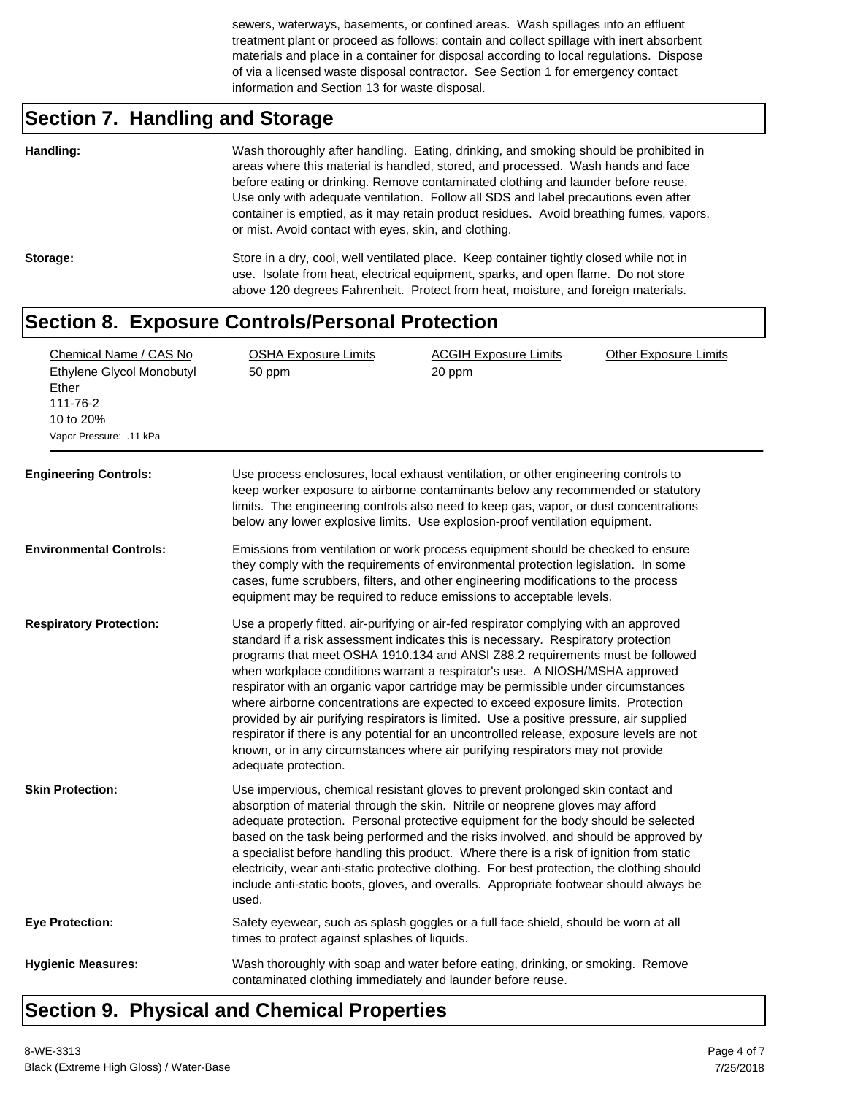sewers, waterways, basements, or confined areas. Wash spillages into an effluent treatment plant or proceed as follows: contain and collect spillage with inert absorbent materials and place in a container for disposal according to local regulations. Dispose of via a licensed waste disposal contractor. See Section 1 for emergency contact information and Section 13 for waste disposal.

## **Section 7. Handling and Storage**

| Handling: | Wash thoroughly after handling. Eating, drinking, and smoking should be prohibited in<br>areas where this material is handled, stored, and processed. Wash hands and face<br>before eating or drinking. Remove contaminated clothing and launder before reuse.<br>Use only with adequate ventilation. Follow all SDS and label precautions even after<br>container is emptied, as it may retain product residues. Avoid breathing fumes, vapors,<br>or mist. Avoid contact with eyes, skin, and clothing. |
|-----------|-----------------------------------------------------------------------------------------------------------------------------------------------------------------------------------------------------------------------------------------------------------------------------------------------------------------------------------------------------------------------------------------------------------------------------------------------------------------------------------------------------------|
| Storage:  | Store in a dry, cool, well ventilated place. Keep container tightly closed while not in<br>use. Isolate from heat, electrical equipment, sparks, and open flame. Do not store<br>above 120 degrees Fahrenheit. Protect from heat, moisture, and foreign materials.                                                                                                                                                                                                                                        |

#### **Section 8. Exposure Controls/Personal Protection**

| Chemical Name / CAS No<br>Ethylene Glycol Monobutyl<br>Ether<br>111-76-2<br>10 to 20%<br>Vapor Pressure: .11 kPa<br><b>Engineering Controls:</b> | <b>OSHA Exposure Limits</b><br>50 ppm<br>Use process enclosures, local exhaust ventilation, or other engineering controls to<br>keep worker exposure to airborne contaminants below any recommended or statutory<br>limits. The engineering controls also need to keep gas, vapor, or dust concentrations<br>below any lower explosive limits. Use explosion-proof ventilation equipment.                                                                                                                                                                                                                                                                                                                                                                                                                             | <b>ACGIH Exposure Limits</b><br>20 ppm | <b>Other Exposure Limits</b> |
|--------------------------------------------------------------------------------------------------------------------------------------------------|-----------------------------------------------------------------------------------------------------------------------------------------------------------------------------------------------------------------------------------------------------------------------------------------------------------------------------------------------------------------------------------------------------------------------------------------------------------------------------------------------------------------------------------------------------------------------------------------------------------------------------------------------------------------------------------------------------------------------------------------------------------------------------------------------------------------------|----------------------------------------|------------------------------|
| <b>Environmental Controls:</b>                                                                                                                   | Emissions from ventilation or work process equipment should be checked to ensure<br>they comply with the requirements of environmental protection legislation. In some<br>cases, fume scrubbers, filters, and other engineering modifications to the process<br>equipment may be required to reduce emissions to acceptable levels.                                                                                                                                                                                                                                                                                                                                                                                                                                                                                   |                                        |                              |
| <b>Respiratory Protection:</b>                                                                                                                   | Use a properly fitted, air-purifying or air-fed respirator complying with an approved<br>standard if a risk assessment indicates this is necessary. Respiratory protection<br>programs that meet OSHA 1910.134 and ANSI Z88.2 requirements must be followed<br>when workplace conditions warrant a respirator's use. A NIOSH/MSHA approved<br>respirator with an organic vapor cartridge may be permissible under circumstances<br>where airborne concentrations are expected to exceed exposure limits. Protection<br>provided by air purifying respirators is limited. Use a positive pressure, air supplied<br>respirator if there is any potential for an uncontrolled release, exposure levels are not<br>known, or in any circumstances where air purifying respirators may not provide<br>adequate protection. |                                        |                              |
| <b>Skin Protection:</b>                                                                                                                          | Use impervious, chemical resistant gloves to prevent prolonged skin contact and<br>absorption of material through the skin. Nitrile or neoprene gloves may afford<br>adequate protection. Personal protective equipment for the body should be selected<br>based on the task being performed and the risks involved, and should be approved by<br>a specialist before handling this product. Where there is a risk of ignition from static<br>electricity, wear anti-static protective clothing. For best protection, the clothing should<br>include anti-static boots, gloves, and overalls. Appropriate footwear should always be<br>used.                                                                                                                                                                          |                                        |                              |
| <b>Eye Protection:</b>                                                                                                                           | Safety eyewear, such as splash goggles or a full face shield, should be worn at all<br>times to protect against splashes of liquids.                                                                                                                                                                                                                                                                                                                                                                                                                                                                                                                                                                                                                                                                                  |                                        |                              |
| <b>Hygienic Measures:</b>                                                                                                                        | Wash thoroughly with soap and water before eating, drinking, or smoking. Remove<br>contaminated clothing immediately and launder before reuse.                                                                                                                                                                                                                                                                                                                                                                                                                                                                                                                                                                                                                                                                        |                                        |                              |

#### **Section 9. Physical and Chemical Properties**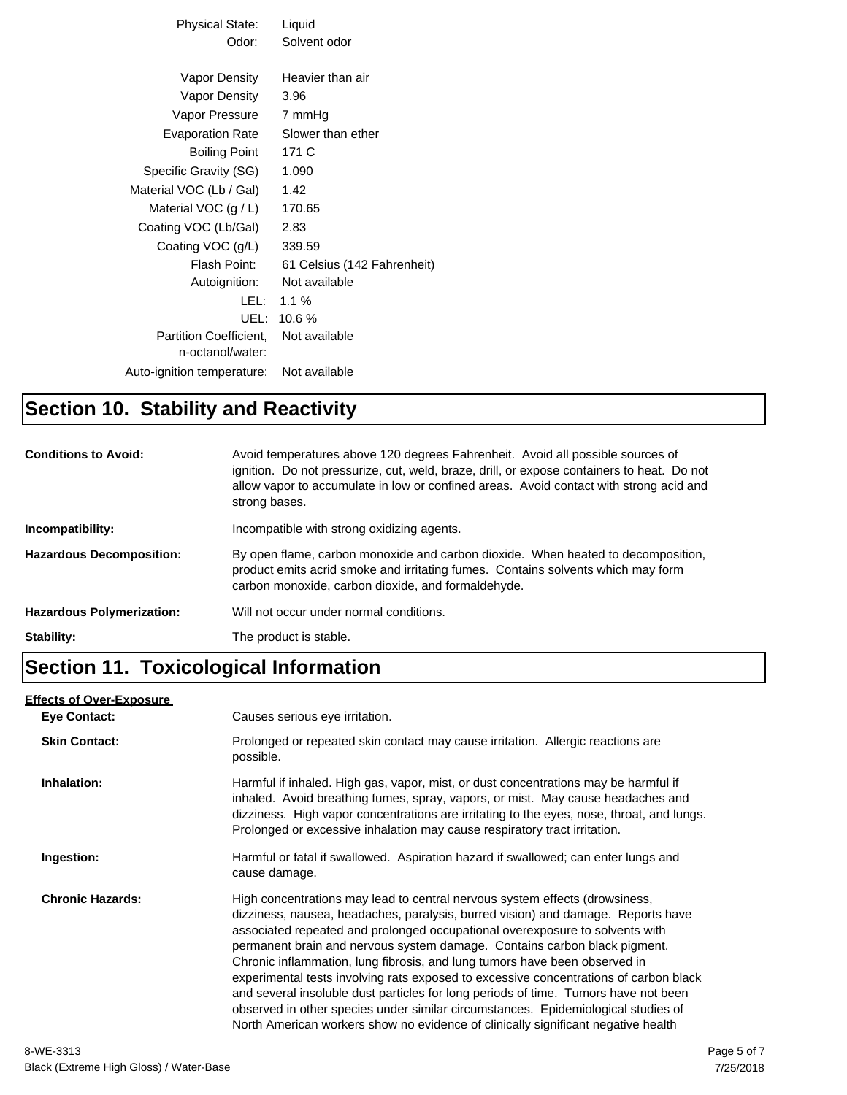| Physical State:           | Liquid                      |
|---------------------------|-----------------------------|
| Odor:                     | Solvent odor                |
|                           |                             |
| Vapor Density             | Heavier than air            |
| Vapor Density             | 3.96                        |
| Vapor Pressure            | 7 mmHg                      |
| Evaporation Rate          | Slower than ether           |
| Boiling Point             | 171 C                       |
| Specific Gravity (SG)     | 1.090                       |
| Material VOC (Lb / Gal)   | 1.42                        |
| Material VOC $(g / L)$    | 170.65                      |
| Coating VOC (Lb/Gal)      | 2.83                        |
| Coating VOC (g/L)         | 339.59                      |
| Flash Point:              | 61 Celsius (142 Fahrenheit) |
| Autoignition:             | Not available               |
| LEL:                      | $1.1\%$                     |
| UEL:                      | 10.6%                       |
| Partition Coefficient.    | Not available               |
| n-octanol/water:          |                             |
| Auto-ignition temperature | Not available               |
|                           |                             |

#### **Section 10. Stability and Reactivity**

| <b>Conditions to Avoid:</b>      | Avoid temperatures above 120 degrees Fahrenheit. Avoid all possible sources of<br>ignition. Do not pressurize, cut, weld, braze, drill, or expose containers to heat. Do not<br>allow vapor to accumulate in low or confined areas. Avoid contact with strong acid and<br>strong bases. |
|----------------------------------|-----------------------------------------------------------------------------------------------------------------------------------------------------------------------------------------------------------------------------------------------------------------------------------------|
| Incompatibility:                 | Incompatible with strong oxidizing agents.                                                                                                                                                                                                                                              |
| <b>Hazardous Decomposition:</b>  | By open flame, carbon monoxide and carbon dioxide. When heated to decomposition,<br>product emits acrid smoke and irritating fumes. Contains solvents which may form<br>carbon monoxide, carbon dioxide, and formaldehyde.                                                              |
| <b>Hazardous Polymerization:</b> | Will not occur under normal conditions.                                                                                                                                                                                                                                                 |
| Stability:                       | The product is stable.                                                                                                                                                                                                                                                                  |

#### **Section 11. Toxicological Information**

#### **Eye Contact: Skin Contact:** Prolonged or repeated skin contact may cause irritation. Allergic reactions are possible. **Inhalation:** Harmful if inhaled. High gas, vapor, mist, or dust concentrations may be harmful if inhaled. Avoid breathing fumes, spray, vapors, or mist. May cause headaches and dizziness. High vapor concentrations are irritating to the eyes, nose, throat, and lungs. Prolonged or excessive inhalation may cause respiratory tract irritation. **Ingestion:** Harmful or fatal if swallowed. Aspiration hazard if swallowed; can enter lungs and cause damage. **Chronic Hazards:** High concentrations may lead to central nervous system effects (drowsiness, dizziness, nausea, headaches, paralysis, burred vision) and damage. Reports have associated repeated and prolonged occupational overexposure to solvents with permanent brain and nervous system damage. Contains carbon black pigment. Chronic inflammation, lung fibrosis, and lung tumors have been observed in experimental tests involving rats exposed to excessive concentrations of carbon black and several insoluble dust particles for long periods of time. Tumors have not been observed in other species under similar circumstances. Epidemiological studies of North American workers show no evidence of clinically significant negative health **Effects of Over-Exposure** Causes serious eye irritation.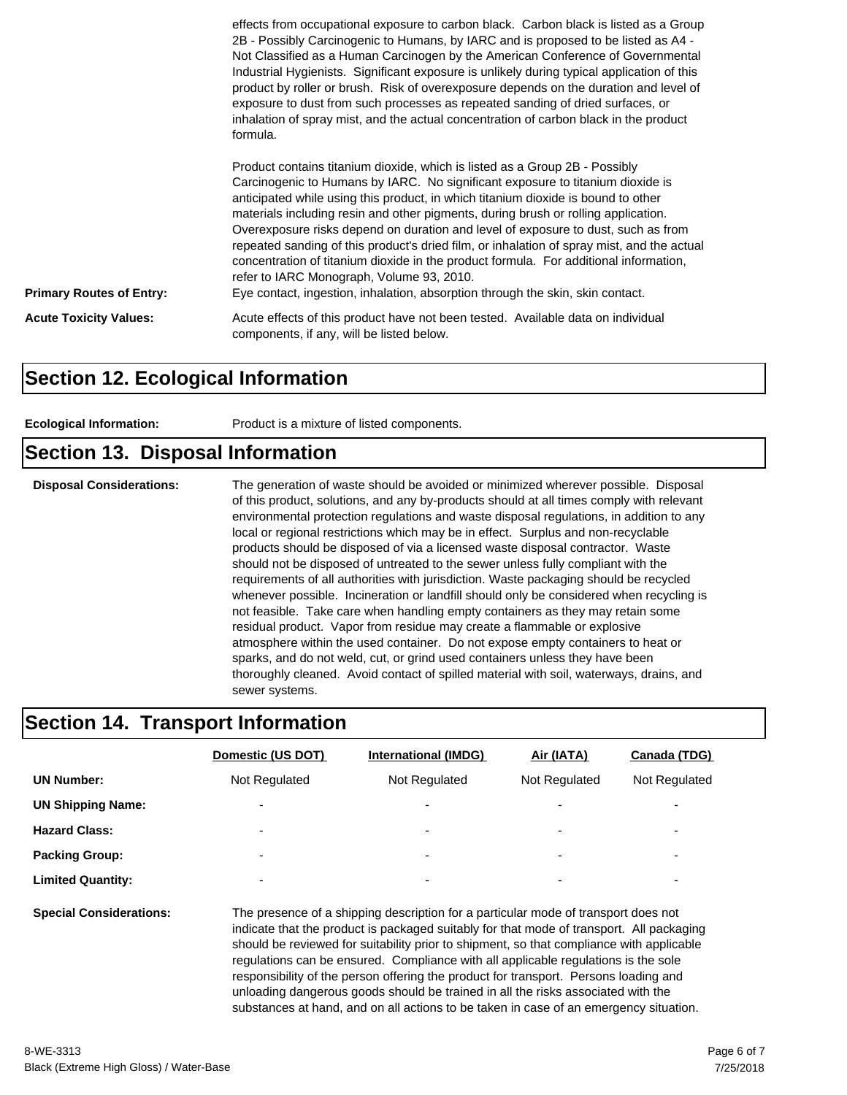|                                 | effects from occupational exposure to carbon black. Carbon black is listed as a Group<br>2B - Possibly Carcinogenic to Humans, by IARC and is proposed to be listed as A4 -<br>Not Classified as a Human Carcinogen by the American Conference of Governmental<br>Industrial Hygienists. Significant exposure is unlikely during typical application of this<br>product by roller or brush. Risk of overexposure depends on the duration and level of<br>exposure to dust from such processes as repeated sanding of dried surfaces, or<br>inhalation of spray mist, and the actual concentration of carbon black in the product<br>formula.                                                                                                        |
|---------------------------------|-----------------------------------------------------------------------------------------------------------------------------------------------------------------------------------------------------------------------------------------------------------------------------------------------------------------------------------------------------------------------------------------------------------------------------------------------------------------------------------------------------------------------------------------------------------------------------------------------------------------------------------------------------------------------------------------------------------------------------------------------------|
| <b>Primary Routes of Entry:</b> | Product contains titanium dioxide, which is listed as a Group 2B - Possibly<br>Carcinogenic to Humans by IARC. No significant exposure to titanium dioxide is<br>anticipated while using this product, in which titanium dioxide is bound to other<br>materials including resin and other pigments, during brush or rolling application.<br>Overexposure risks depend on duration and level of exposure to dust, such as from<br>repeated sanding of this product's dried film, or inhalation of spray mist, and the actual<br>concentration of titanium dioxide in the product formula. For additional information,<br>refer to IARC Monograph, Volume 93, 2010.<br>Eye contact, ingestion, inhalation, absorption through the skin, skin contact. |
| <b>Acute Toxicity Values:</b>   | Acute effects of this product have not been tested. Available data on individual<br>components, if any, will be listed below.                                                                                                                                                                                                                                                                                                                                                                                                                                                                                                                                                                                                                       |

#### **Section 12. Ecological Information**

| Product is a mixture of listed components.<br><b>Ecological Information:</b> |  |
|------------------------------------------------------------------------------|--|
|------------------------------------------------------------------------------|--|

#### **Section 13. Disposal Information**

**Disposal Considerations:** The generation of waste should be avoided or minimized wherever possible. Disposal of this product, solutions, and any by-products should at all times comply with relevant environmental protection regulations and waste disposal regulations, in addition to any local or regional restrictions which may be in effect. Surplus and non-recyclable products should be disposed of via a licensed waste disposal contractor. Waste should not be disposed of untreated to the sewer unless fully compliant with the requirements of all authorities with jurisdiction. Waste packaging should be recycled whenever possible. Incineration or landfill should only be considered when recycling is not feasible. Take care when handling empty containers as they may retain some residual product. Vapor from residue may create a flammable or explosive atmosphere within the used container. Do not expose empty containers to heat or sparks, and do not weld, cut, or grind used containers unless they have been thoroughly cleaned. Avoid contact of spilled material with soil, waterways, drains, and sewer systems.

#### **Section 14. Transport Information**

|                                | Domestic (US DOT)                                                                                                                                                                                                                                                                                  | <b>International (IMDG)</b> | Air (IATA)    | Canada (TDG)  |
|--------------------------------|----------------------------------------------------------------------------------------------------------------------------------------------------------------------------------------------------------------------------------------------------------------------------------------------------|-----------------------------|---------------|---------------|
| <b>UN Number:</b>              | Not Regulated                                                                                                                                                                                                                                                                                      | Not Regulated               | Not Regulated | Not Regulated |
| <b>UN Shipping Name:</b>       |                                                                                                                                                                                                                                                                                                    |                             |               |               |
| <b>Hazard Class:</b>           | $\overline{\phantom{0}}$                                                                                                                                                                                                                                                                           | $\overline{\phantom{a}}$    |               | -             |
| <b>Packing Group:</b>          |                                                                                                                                                                                                                                                                                                    |                             |               | -             |
| <b>Limited Quantity:</b>       |                                                                                                                                                                                                                                                                                                    | $\overline{\phantom{a}}$    |               | -             |
| <b>Special Considerations:</b> | The presence of a shipping description for a particular mode of transport does not<br>indicate that the product is packaged suitably for that mode of transport. All packaging<br>rende and the second contract of the second contract of the second contract of the second contract of the second |                             |               |               |

should be reviewed for suitability prior to shipment, so that compliance with applicable regulations can be ensured. Compliance with all applicable regulations is the sole responsibility of the person offering the product for transport. Persons loading and unloading dangerous goods should be trained in all the risks associated with the substances at hand, and on all actions to be taken in case of an emergency situation.